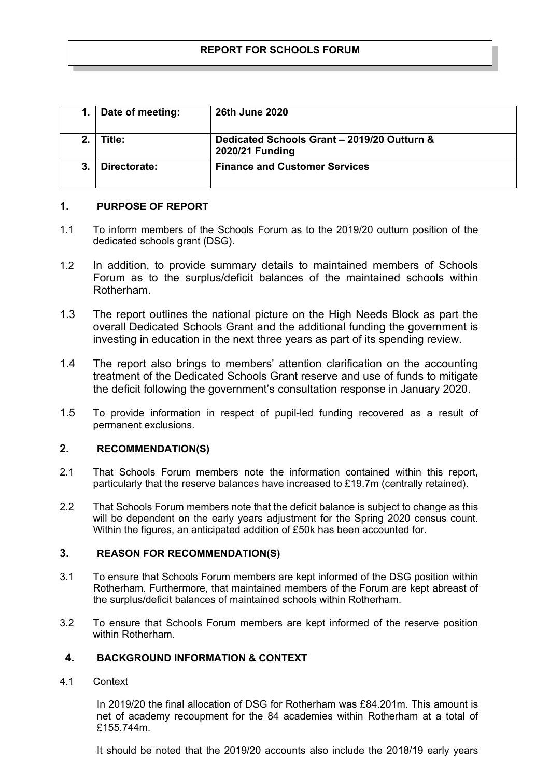|                | <b>Date of meeting:</b> | <b>26th June 2020</b>                                          |
|----------------|-------------------------|----------------------------------------------------------------|
| 2 <sub>1</sub> | Title:                  | Dedicated Schools Grant - 2019/20 Outturn &<br>2020/21 Funding |
| 3.             | Directorate:            | <b>Finance and Customer Services</b>                           |

## **1. PURPOSE OF REPORT**

- 1.1 To inform members of the Schools Forum as to the 2019/20 outturn position of the dedicated schools grant (DSG).
- 1.2 In addition, to provide summary details to maintained members of Schools Forum as to the surplus/deficit balances of the maintained schools within Rotherham.
- 1.3 The report outlines the national picture on the High Needs Block as part the overall Dedicated Schools Grant and the additional funding the government is investing in education in the next three years as part of its spending review.
- 1.4 The report also brings to members' attention clarification on the accounting treatment of the Dedicated Schools Grant reserve and use of funds to mitigate the deficit following the government's consultation response in January 2020.
- 1.5 To provide information in respect of pupil-led funding recovered as a result of permanent exclusions.

## **2. RECOMMENDATION(S)**

- 2.1 That Schools Forum members note the information contained within this report, particularly that the reserve balances have increased to £19.7m (centrally retained).
- 2.2 That Schools Forum members note that the deficit balance is subject to change as this will be dependent on the early years adjustment for the Spring 2020 census count. Within the figures, an anticipated addition of £50k has been accounted for.

# **3. REASON FOR RECOMMENDATION(S)**

- 3.1 To ensure that Schools Forum members are kept informed of the DSG position within Rotherham. Furthermore, that maintained members of the Forum are kept abreast of the surplus/deficit balances of maintained schools within Rotherham.
- 3.2 To ensure that Schools Forum members are kept informed of the reserve position within Rotherham.

## **4. BACKGROUND INFORMATION & CONTEXT**

#### 4.1 Context

In 2019/20 the final allocation of DSG for Rotherham was £84.201m. This amount is net of academy recoupment for the 84 academies within Rotherham at a total of £155.744m.

It should be noted that the 2019/20 accounts also include the 2018/19 early years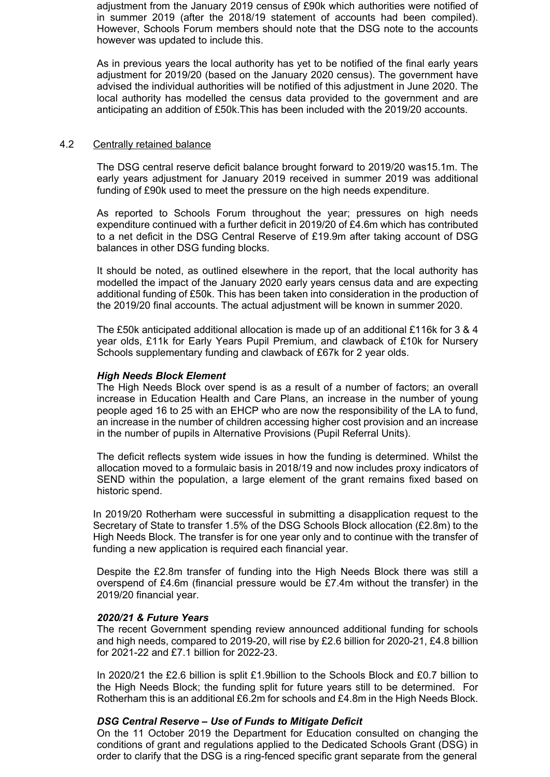adjustment from the January 2019 census of £90k which authorities were notified of in summer 2019 (after the 2018/19 statement of accounts had been compiled). However, Schools Forum members should note that the DSG note to the accounts however was updated to include this.

As in previous years the local authority has yet to be notified of the final early years adjustment for 2019/20 (based on the January 2020 census). The government have advised the individual authorities will be notified of this adjustment in June 2020. The local authority has modelled the census data provided to the government and are anticipating an addition of £50k.This has been included with the 2019/20 accounts.

#### 4.2 Centrally retained balance

The DSG central reserve deficit balance brought forward to 2019/20 was15.1m. The early years adjustment for January 2019 received in summer 2019 was additional funding of £90k used to meet the pressure on the high needs expenditure.

As reported to Schools Forum throughout the year; pressures on high needs expenditure continued with a further deficit in 2019/20 of £4.6m which has contributed to a net deficit in the DSG Central Reserve of £19.9m after taking account of DSG balances in other DSG funding blocks.

It should be noted, as outlined elsewhere in the report, that the local authority has modelled the impact of the January 2020 early years census data and are expecting additional funding of £50k. This has been taken into consideration in the production of the 2019/20 final accounts. The actual adjustment will be known in summer 2020.

The £50k anticipated additional allocation is made up of an additional £116k for 3 & 4 year olds, £11k for Early Years Pupil Premium, and clawback of £10k for Nursery Schools supplementary funding and clawback of £67k for 2 year olds.

### *High Needs Block Element*

The High Needs Block over spend is as a result of a number of factors; an overall increase in Education Health and Care Plans, an increase in the number of young people aged 16 to 25 with an EHCP who are now the responsibility of the LA to fund, an increase in the number of children accessing higher cost provision and an increase in the number of pupils in Alternative Provisions (Pupil Referral Units).

The deficit reflects system wide issues in how the funding is determined. Whilst the allocation moved to a formulaic basis in 2018/19 and now includes proxy indicators of SEND within the population, a large element of the grant remains fixed based on historic spend.

In 2019/20 Rotherham were successful in submitting a disapplication request to the Secretary of State to transfer 1.5% of the DSG Schools Block allocation (£2.8m) to the High Needs Block. The transfer is for one year only and to continue with the transfer of funding a new application is required each financial year.

Despite the £2.8m transfer of funding into the High Needs Block there was still a overspend of £4.6m (financial pressure would be £7.4m without the transfer) in the 2019/20 financial year.

#### *2020/21 & Future Years*

The recent Government spending review announced additional funding for schools and high needs, compared to 2019-20, will rise by £2.6 billion for 2020-21, £4.8 billion for 2021-22 and £7.1 billion for 2022-23.

In 2020/21 the £2.6 billion is split £1.9billion to the Schools Block and £0.7 billion to the High Needs Block; the funding split for future years still to be determined. For Rotherham this is an additional £6.2m for schools and £4.8m in the High Needs Block.

#### *DSG Central Reserve – Use of Funds to Mitigate Deficit*

On the 11 October 2019 the Department for Education consulted on changing the conditions of grant and regulations applied to the Dedicated Schools Grant (DSG) in order to clarify that the DSG is a ring-fenced specific grant separate from the general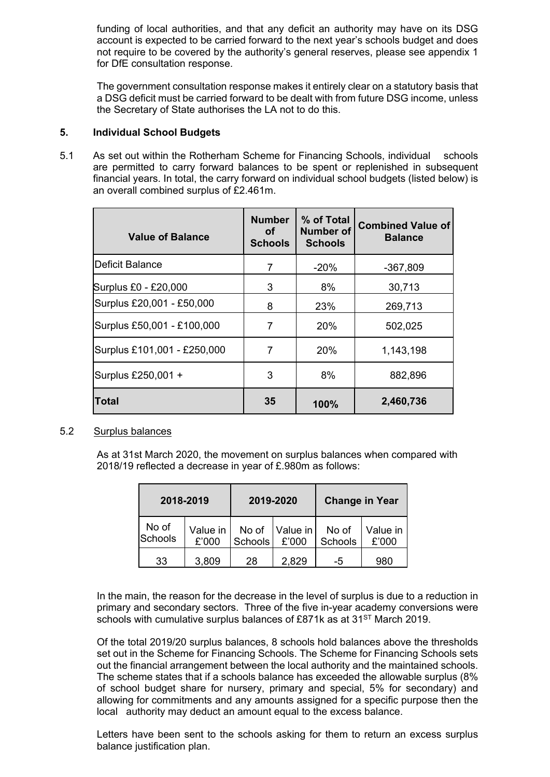funding of local authorities, and that any deficit an authority may have on its DSG account is expected to be carried forward to the next year's schools budget and does not require to be covered by the authority's general reserves, please see appendix 1 for DfE consultation response.

The government consultation response makes it entirely clear on a statutory basis that a DSG deficit must be carried forward to be dealt with from future DSG income, unless the Secretary of State authorises the LA not to do this.

## **5. Individual School Budgets**

5.1 As set out within the Rotherham Scheme for Financing Schools, individual schools are permitted to carry forward balances to be spent or replenished in subsequent financial years. In total, the carry forward on individual school budgets (listed below) is an overall combined surplus of £2.461m.

| <b>Value of Balance</b>     | <b>Number</b><br>οf<br><b>Schools</b> | % of Total<br><b>Number of</b><br><b>Schools</b> | <b>Combined Value of</b><br><b>Balance</b> |
|-----------------------------|---------------------------------------|--------------------------------------------------|--------------------------------------------|
| Deficit Balance             | 7                                     | $-20%$                                           | $-367,809$                                 |
| Surplus £0 - £20,000        | 3                                     | 8%                                               | 30,713                                     |
| Surplus £20,001 - £50,000   | 8                                     | 23%                                              | 269,713                                    |
| Surplus £50,001 - £100,000  | 7                                     | 20%                                              | 502,025                                    |
| Surplus £101,001 - £250,000 | 7                                     | 20%                                              | 1,143,198                                  |
| Surplus £250,001 +          | 3                                     | 8%                                               | 882,896                                    |
| <b>Total</b>                | 35                                    | 100%                                             | 2,460,736                                  |

## 5.2 Surplus balances

As at 31st March 2020, the movement on surplus balances when compared with 2018/19 reflected a decrease in year of £.980m as follows:

| 2018-2019        |                   | 2019-2020                     |                   | <b>Change in Year</b> |                   |
|------------------|-------------------|-------------------------------|-------------------|-----------------------|-------------------|
| No of<br>Schools | Value in<br>£'000 | No of<br>Schools <sup>1</sup> | Value in<br>£'000 | No of<br>Schools      | Value in<br>£'000 |
| 33               | 3,809             | 28                            | 2,829             | -5                    | 980               |

In the main, the reason for the decrease in the level of surplus is due to a reduction in primary and secondary sectors. Three of the five in-year academy conversions were schools with cumulative surplus balances of £871k as at 31<sup>ST</sup> March 2019.

Of the total 2019/20 surplus balances, 8 schools hold balances above the thresholds set out in the Scheme for Financing Schools. The Scheme for Financing Schools sets out the financial arrangement between the local authority and the maintained schools. The scheme states that if a schools balance has exceeded the allowable surplus (8% of school budget share for nursery, primary and special, 5% for secondary) and allowing for commitments and any amounts assigned for a specific purpose then the local authority may deduct an amount equal to the excess balance.

Letters have been sent to the schools asking for them to return an excess surplus balance justification plan.